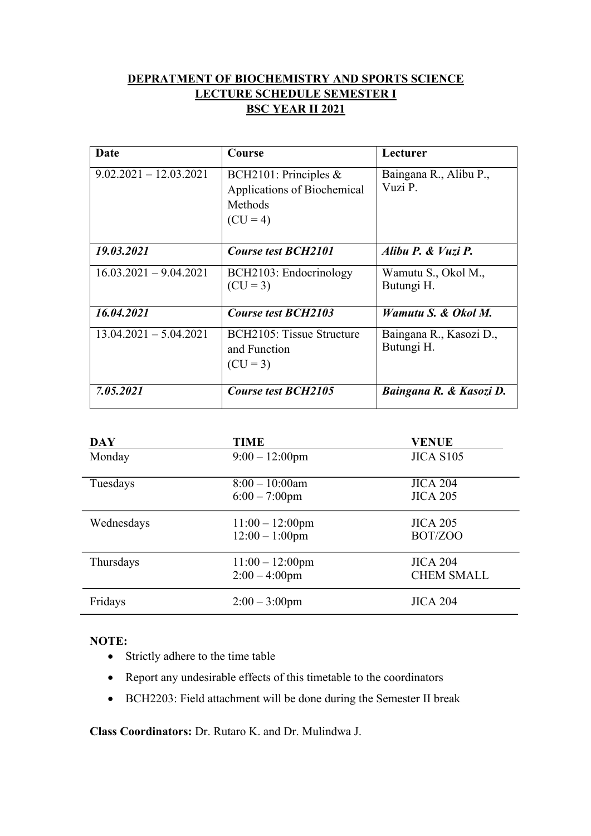## **DEPRATMENT OF BIOCHEMISTRY AND SPORTS SCIENCE LECTURE SCHEDULE SEMESTER I BSC YEAR II 2021**

| Date                     | Course                                                                        | Lecturer                              |
|--------------------------|-------------------------------------------------------------------------------|---------------------------------------|
| $9.02.2021 - 12.03.2021$ | BCH2101: Principles &<br>Applications of Biochemical<br>Methods<br>$(CU = 4)$ | Baingana R., Alibu P.,<br>Vuzi P.     |
| 19.03.2021               | <b>Course test BCH2101</b>                                                    | Alibu P. & Vuzi P.                    |
| $16.03.2021 - 9.04.2021$ | BCH2103: Endocrinology<br>$(CU = 3)$                                          | Wamutu S., Okol M.,<br>Butungi H.     |
| 16.04.2021               | <b>Course test BCH2103</b>                                                    | Wamutu S. & Okol M.                   |
| $13.04.2021 - 5.04.2021$ | BCH2105: Tissue Structure<br>and Function<br>$(CU = 3)$                       | Baingana R., Kasozi D.,<br>Butungi H. |
| 7.05.2021                | <b>Course test BCH2105</b>                                                    | Baingana R. & Kasozi D.               |

| <b>DAY</b> | <b>TIME</b>                                    | <b>VENUE</b>                    |
|------------|------------------------------------------------|---------------------------------|
| Monday     | $9:00-12:00$ pm                                | JICA S105                       |
| Tuesdays   | $8:00 - 10:00$ am<br>$6:00 - 7:00$ pm          | <b>JICA 204</b><br>$JICA$ 205   |
| Wednesdays | $11:00 - 12:00 \text{pm}$<br>$12:00 - 1:00$ pm | <b>JICA 205</b><br>BOT/ZOO      |
| Thursdays  | $11:00 - 12:00$ pm<br>$2:00 - 4:00$ pm         | $JICA$ 204<br><b>CHEM SMALL</b> |
| Fridays    | $2:00 - 3:00$ pm                               | <b>JICA 204</b>                 |

## **NOTE:**

- Strictly adhere to the time table
- Report any undesirable effects of this timetable to the coordinators
- BCH2203: Field attachment will be done during the Semester II break

**Class Coordinators:** Dr. Rutaro K. and Dr. Mulindwa J.